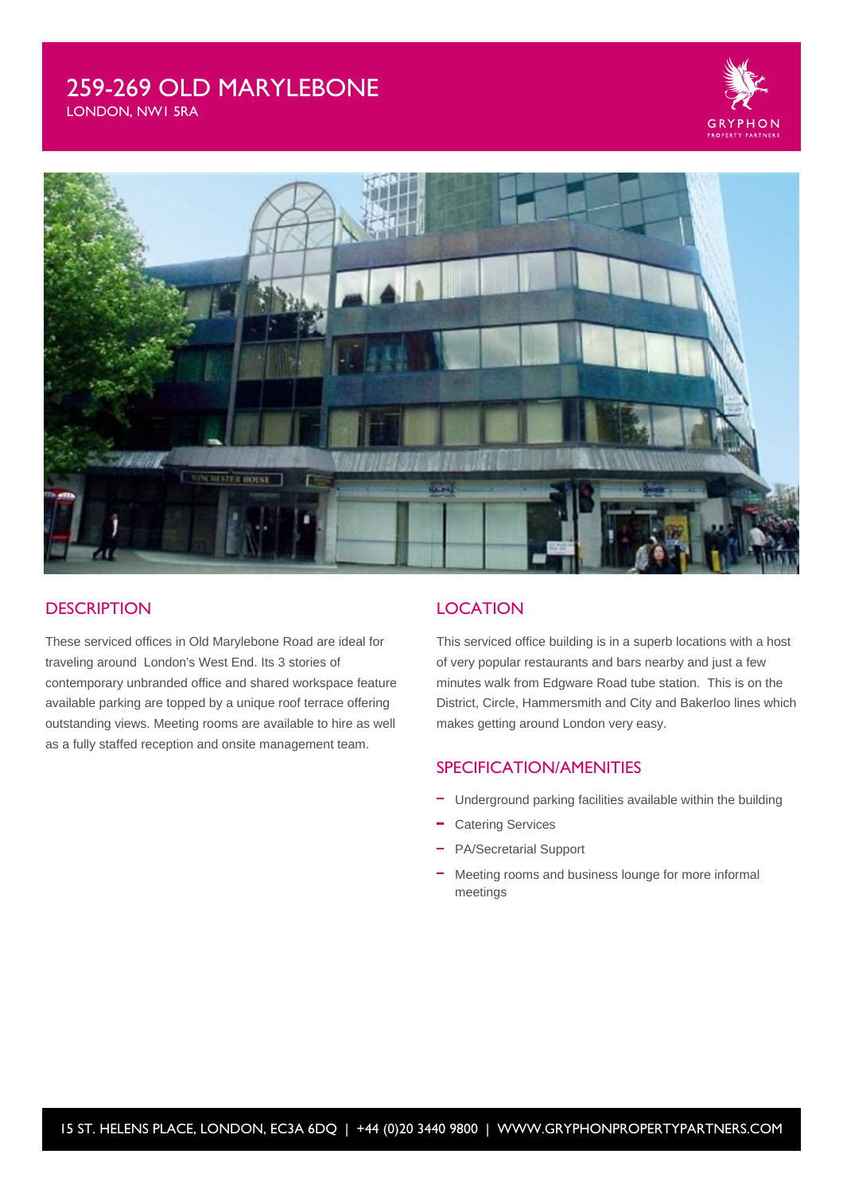# 259-269 OLD MARYLEBONE



LONDON, NW1 5RA



#### **DESCRIPTION**

These serviced offices in Old Marylebone Road are ideal for traveling around London's West End. Its 3 stories of contemporary unbranded office and shared workspace feature available parking are topped by a unique roof terrace offering outstanding views. Meeting rooms are available to hire as well as a fully staffed reception and onsite management team.

#### **LOCATION**

This serviced office building is in a superb locations with a host of very popular restaurants and bars nearby and just a few minutes walk from Edgware Road tube station. This is on the District, Circle, Hammersmith and City and Bakerloo lines which makes getting around London very easy.

### SPECIFICATION/AMENITIES

- Underground parking facilities available within the building
- Catering Services
- PA/Secretarial Support
- Meeting rooms and business lounge for more informal meetings